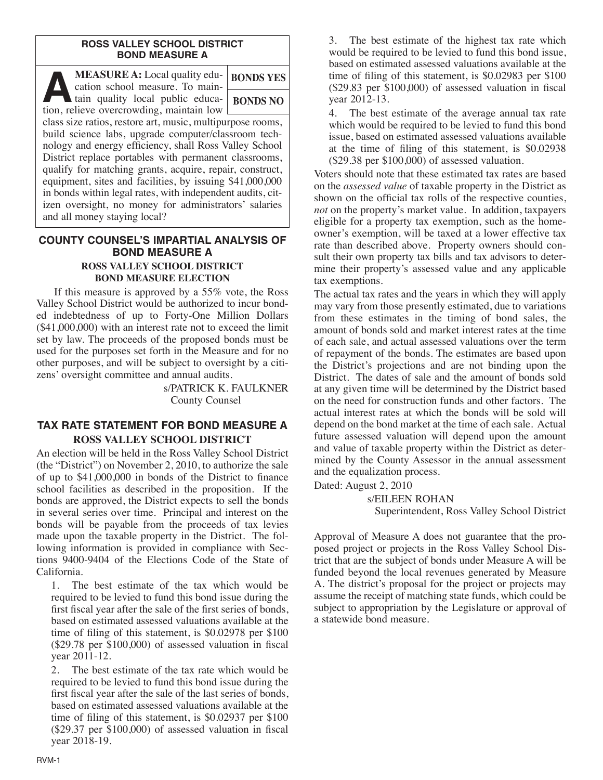#### **ROSS VALLEY SCHOOL DISTRICT BOND MEASURE A**

| <b>MEASURE A:</b> Local quality edu-<br>cation school measure. To main-                    | <b>BONDS YES</b> |  |  |  |
|--------------------------------------------------------------------------------------------|------------------|--|--|--|
| tain quality local public educa-<br>$\sqrt{2}$<br>tion, relieve overcrowding, maintain low | <b>BONDS NO</b>  |  |  |  |
| class size ratios, restore art, music, multipurpose rooms,                                 |                  |  |  |  |
| build science labs, upgrade computer/classroom tech-                                       |                  |  |  |  |
| nology and energy efficiency, shall Ross Valley School                                     |                  |  |  |  |
| District replace portables with permanent classrooms,                                      |                  |  |  |  |
| qualify for matching grants, acquire, repair, construct,                                   |                  |  |  |  |
| equipment, sites and facilities, by issuing \$41,000,000                                   |                  |  |  |  |
| in bonds within legal rates, with independent audits, cit-                                 |                  |  |  |  |
| izen oversight, no money for administrators' salaries                                      |                  |  |  |  |
| and all money staying local?                                                               |                  |  |  |  |

### **COUNTY COUNSEL'S IMPARTIAL ANALYSIS OF BOND MEASURE A ROSS VALLEY SCHOOL DISTRICT BOND MEASURE ELECTION**

If this measure is approved by a 55% vote, the Ross Valley School District would be authorized to incur bonded indebtedness of up to Forty-One Million Dollars (\$41,000,000) with an interest rate not to exceed the limit set by law. The proceeds of the proposed bonds must be used for the purposes set forth in the Measure and for no other purposes, and will be subject to oversight by a citizens' oversight committee and annual audits.

> s/PATRICK K. FAULKNER County Counsel

# **TAX RATE STATEMENT FOR BOND MEASURE A ROSS VALLEY SCHOOL DISTRICT**

An election will be held in the Ross Valley School District (the "District") on November 2, 2010, to authorize the sale of up to \$41,000,000 in bonds of the District to finance school facilities as described in the proposition. If the bonds are approved, the District expects to sell the bonds in several series over time. Principal and interest on the bonds will be payable from the proceeds of tax levies made upon the taxable property in the District. The following information is provided in compliance with Sections 9400-9404 of the Elections Code of the State of California.

1. The best estimate of the tax which would be required to be levied to fund this bond issue during the first fiscal year after the sale of the first series of bonds, based on estimated assessed valuations available at the time of filing of this statement, is \$0.02978 per \$100 (\$29.78 per \$100,000) of assessed valuation in fiscal year 2011-12.

2. The best estimate of the tax rate which would be required to be levied to fund this bond issue during the first fiscal year after the sale of the last series of bonds, based on estimated assessed valuations available at the time of filing of this statement, is \$0.02937 per \$100 (\$29.37 per \$100,000) of assessed valuation in fiscal year 2018-19.

3. The best estimate of the highest tax rate which would be required to be levied to fund this bond issue, based on estimated assessed valuations available at the time of filing of this statement, is \$0.02983 per \$100 (\$29.83 per \$100,000) of assessed valuation in fiscal year 2012-13.

4. The best estimate of the average annual tax rate which would be required to be levied to fund this bond issue, based on estimated assessed valuations available at the time of filing of this statement, is \$0.02938 (\$29.38 per \$100,000) of assessed valuation.

Voters should note that these estimated tax rates are based on the *assessed value* of taxable property in the District as shown on the official tax rolls of the respective counties, *not* on the property's market value. In addition, taxpayers eligible for a property tax exemption, such as the homeowner's exemption, will be taxed at a lower effective tax rate than described above. Property owners should consult their own property tax bills and tax advisors to determine their property's assessed value and any applicable tax exemptions.

The actual tax rates and the years in which they will apply may vary from those presently estimated, due to variations from these estimates in the timing of bond sales, the amount of bonds sold and market interest rates at the time of each sale, and actual assessed valuations over the term of repayment of the bonds. The estimates are based upon the District's projections and are not binding upon the District. The dates of sale and the amount of bonds sold at any given time will be determined by the District based on the need for construction funds and other factors. The actual interest rates at which the bonds will be sold will depend on the bond market at the time of each sale. Actual future assessed valuation will depend upon the amount and value of taxable property within the District as determined by the County Assessor in the annual assessment and the equalization process.

Dated: August 2, 2010

s/EILEEN ROHAN Superintendent, Ross Valley School District

Approval of Measure A does not guarantee that the proposed project or projects in the Ross Valley School District that are the subject of bonds under Measure A will be funded beyond the local revenues generated by Measure A. The district's proposal for the project or projects may assume the receipt of matching state funds, which could be subject to appropriation by the Legislature or approval of a statewide bond measure.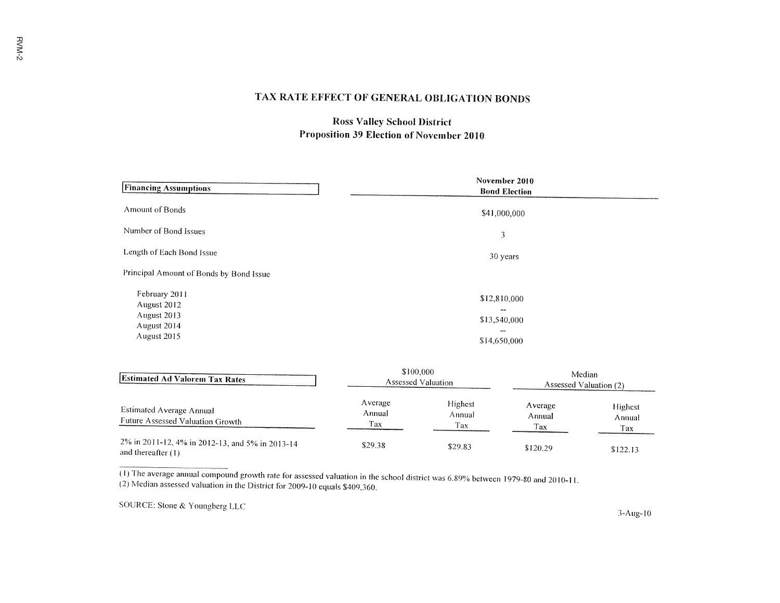# TAX RATE EFFECT OF GENERAL OBLIGATION BONDS

# **Ross Valley School District** Proposition 39 Election of November 2010

| <b>Financing Assumptions</b>                                              | November 2010<br><b>Bond Election</b>                                           |  |
|---------------------------------------------------------------------------|---------------------------------------------------------------------------------|--|
| Amount of Bonds                                                           | \$41,000,000                                                                    |  |
| Number of Bond Issues                                                     | 3                                                                               |  |
| Length of Each Bond Issue                                                 | 30 years                                                                        |  |
| Principal Amount of Bonds by Bond Issue                                   |                                                                                 |  |
| February 2011<br>August 2012<br>August 2013<br>August 2014<br>August 2015 | \$12,810,000<br>$\cdots$<br>\$13,540,000<br>$- -$<br>\$14,650,000               |  |
|                                                                           | the contract of the contract of the contract of the contract of the contract of |  |

| <b>Estimated Ad Valorem Tax Rates</b>                                   | 3100,000<br>Assessed Valuation |                          | Median<br>Assessed Valuation (2) |                          |
|-------------------------------------------------------------------------|--------------------------------|--------------------------|----------------------------------|--------------------------|
| Estimated Average Annual<br>Future Assessed Valuation Growth            | Average<br>Annual<br>Tax       | Highest<br>Annual<br>Tax | Average<br>Annual<br>Tax         | Highest<br>Annual<br>Tax |
| 2% in 2011-12, 4% in 2012-13, and 5% in 2013-14<br>and thereafter $(1)$ | \$29.38                        | \$29.83                  | \$120.29                         | \$122.13                 |

(1) The average annual compound growth rate for assessed valuation in the school district was 6.89% between 1979-80 and 2010-11. (2) Median assessed valuation in the District for 2009-10 equals \$409,360.

SOURCE: Stone & Youngberg LLC

 $3 - Aug-10$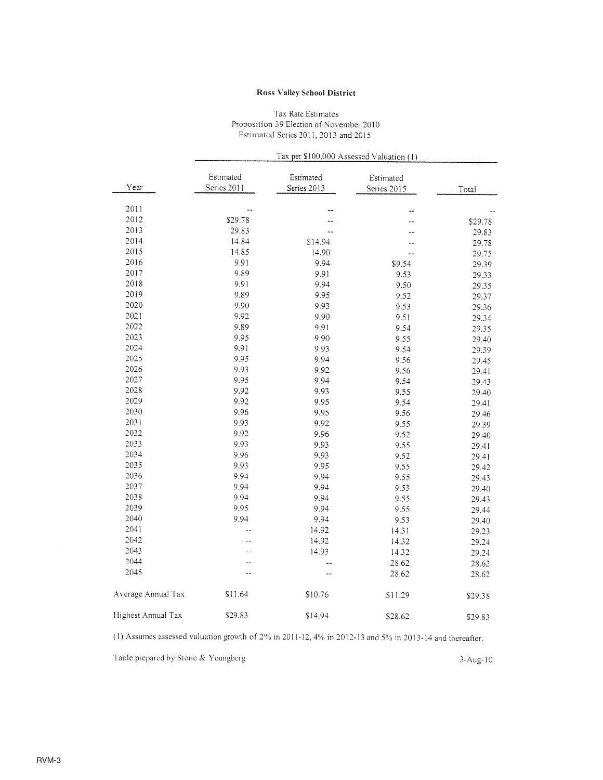#### **Ross Valley School District**

#### Tax Rate Estimates Proposition 39 Election of November 2010 Estimated Series 2011, 2013 and 2015

|                    | Tax per \$100,000 Assessed Valuation (1) |                          |                          |         |  |
|--------------------|------------------------------------------|--------------------------|--------------------------|---------|--|
| Year               | Estimated<br>Series 2011                 | Estimated<br>Series 2013 | Estimated<br>Series 2015 | Total   |  |
| 2011               |                                          |                          |                          |         |  |
| 2012               | \$29.78                                  |                          |                          | \$29.78 |  |
| 2013               | 29.83                                    |                          |                          | 29.83   |  |
| 2014               | 14.84                                    | \$14.94                  |                          | 29.78   |  |
| 2015               | 14.85                                    | 14.90                    |                          | 29.75   |  |
| 2016               | 9.91                                     | 9.94                     | \$9.54                   | 29.39   |  |
| 2017               | 9.89                                     | 9.91                     | 9.53                     | 29.33   |  |
| 2018               | 9.91                                     | 9.94                     | 9.50                     | 29.35   |  |
| 2019               | 9.89                                     | 9.95                     | 9.52                     | 29.37   |  |
| 2020               | 9.90                                     | 9.93                     | 9.53                     | 29.36   |  |
| 2021               | 9.92                                     | 9.90                     | 9.51                     | 29.34   |  |
| 2022               | 9.89                                     | 9.91                     | 9.54                     | 29.35   |  |
| 2023               | 9.95                                     | 9.90                     | 9.55                     | 29.40   |  |
| 2024               | 9.91                                     | 9.93                     | 9.54                     | 29.39   |  |
| 2025               | 9.95                                     | 9.94                     | 9.56                     | 29.45   |  |
| 2026               | 9.93                                     | 9.92                     | 9.56                     | 29.41   |  |
| 2027               | 9.95                                     | 9.94                     | 9.54                     | 29.43   |  |
| 2028               | 9.92                                     | 9.93                     | 9.55                     | 29.40   |  |
| 2029               | 9.92                                     | 9.95                     | 9.54                     | 29.41   |  |
| 2030               | 9.96                                     | 9.95                     | 9.56                     | 29.46   |  |
| 2031               | 9.93                                     | 9.92                     | 9.55                     | 29.39   |  |
| 2032               | 9.92                                     | 9.96                     | 9.52                     | 29.40   |  |
| 2033               | 9.93                                     | 9.93                     | 9.55                     | 29.41   |  |
| 2034               | 9.96                                     | 9.93                     | 9.52                     | 29.41   |  |
| 2035               | 9.93                                     | 9.95                     | 9.55                     | 29.42   |  |
| 2036               | 9.94                                     | 9.94                     | 9.55                     | 29.43   |  |
| 2037               | 9.94                                     | 9.94                     | 9.53                     | 29.40   |  |
| 2038               | 9.94                                     | 9.94                     | 9.55                     | 29.43   |  |
| 2039               | 9.95                                     | 9.94                     | 9.55                     | 29.44   |  |
| 2040               | 9.94                                     | 9.94                     | 9.53                     | 29.40   |  |
| 2041               |                                          | 14.92                    | 14.31                    | 29.23   |  |
| 2042               |                                          | 14.92                    | 14.32                    | 29.24   |  |
| 2043               |                                          | 14.93                    | 14.32                    | 29.24   |  |
| 2044               |                                          |                          | 28.62                    | 28.62   |  |
| 2045               |                                          | --                       | 28.62                    | 28.62   |  |
| Average Annual Tax | \$11.64                                  | \$10.76                  | \$11.29                  | \$29.38 |  |
| Highest Annual Tax | \$29.83                                  | \$14.94                  | \$28.62                  | \$29.83 |  |

(1) Assumes assessed valuation growth of  $2\%$  in 2011-12, 4% in 2012-13 and 5% in 2013-14 and thereafter.

Table prepared by Stone & Youngberg

 $3-Aug-10$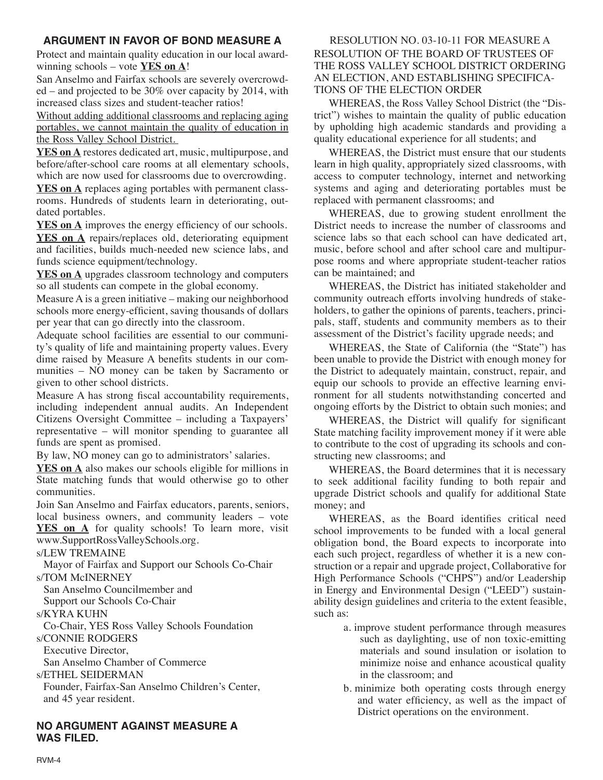# **ARGUMENT IN FAVOR OF BOND MEASURE A**

Protect and maintain quality education in our local awardwinning schools – vote **YES on A**!

San Anselmo and Fairfax schools are severely overcrowded – and projected to be 30% over capacity by 2014, with increased class sizes and student-teacher ratios!

Without adding additional classrooms and replacing aging portables, we cannot maintain the quality of education in the Ross Valley School District.

**YES on A** restores dedicated art, music, multipurpose, and before/after-school care rooms at all elementary schools, which are now used for classrooms due to overcrowding.

**YES on A** replaces aging portables with permanent classrooms. Hundreds of students learn in deteriorating, outdated portables.

**YES on A** improves the energy efficiency of our schools. **YES on A** repairs/replaces old, deteriorating equipment and facilities, builds much-needed new science labs, and funds science equipment/technology.

**YES on A** upgrades classroom technology and computers so all students can compete in the global economy.

Measure A is a green initiative – making our neighborhood schools more energy-efficient, saving thousands of dollars per year that can go directly into the classroom.

Adequate school facilities are essential to our community's quality of life and maintaining property values. Every dime raised by Measure A benefits students in our communities – NO money can be taken by Sacramento or given to other school districts.

Measure A has strong fiscal accountability requirements, including independent annual audits. An Independent Citizens Oversight Committee – including a Taxpayers' representative – will monitor spending to guarantee all funds are spent as promised.

By law, NO money can go to administrators' salaries.

**YES on A** also makes our schools eligible for millions in State matching funds that would otherwise go to other communities.

Join San Anselmo and Fairfax educators, parents, seniors, local business owners, and community leaders – vote **YES on A** for quality schools! To learn more, visit www.SupportRossValleySchools.org.

s/LEW TREMAINE

Mayor of Fairfax and Support our Schools Co-Chair

s/TOM McINERNEY

San Anselmo Councilmember and

Support our Schools Co-Chair

s/KYRA KUHN

Co-Chair, YES Ross Valley Schools Foundation

s/CONNIE RODGERS

Executive Director,

San Anselmo Chamber of Commerce

### s/ETHEL SEIDERMAN

Founder, Fairfax-San Anselmo Children's Center, and 45 year resident.

**NO ARGUMENT AGAINST MEASURE A WAS FILED.**

## RESOLUTION NO. 03-10-11 FOR MEASURE A RESOLUTION OF THE BOARD OF TRUSTEES OF THE ROSS VALLEY SCHOOL DISTRICT ORDERING AN ELECTION, AND ESTABLISHING SPECIFICA-TIONS OF THE ELECTION ORDER

WHEREAS, the Ross Valley School District (the "District") wishes to maintain the quality of public education by upholding high academic standards and providing a quality educational experience for all students; and

WHEREAS, the District must ensure that our students learn in high quality, appropriately sized classrooms, with access to computer technology, internet and networking systems and aging and deteriorating portables must be replaced with permanent classrooms; and

WHEREAS, due to growing student enrollment the District needs to increase the number of classrooms and science labs so that each school can have dedicated art, music, before school and after school care and multipurpose rooms and where appropriate student-teacher ratios can be maintained; and

WHEREAS, the District has initiated stakeholder and community outreach efforts involving hundreds of stakeholders, to gather the opinions of parents, teachers, principals, staff, students and community members as to their assessment of the District's facility upgrade needs; and

WHEREAS, the State of California (the "State") has been unable to provide the District with enough money for the District to adequately maintain, construct, repair, and equip our schools to provide an effective learning environment for all students notwithstanding concerted and ongoing efforts by the District to obtain such monies; and

WHEREAS, the District will qualify for significant State matching facility improvement money if it were able to contribute to the cost of upgrading its schools and constructing new classrooms; and

WHEREAS, the Board determines that it is necessary to seek additional facility funding to both repair and upgrade District schools and qualify for additional State money; and

WHEREAS, as the Board identifies critical need school improvements to be funded with a local general obligation bond, the Board expects to incorporate into each such project, regardless of whether it is a new construction or a repair and upgrade project, Collaborative for High Performance Schools ("CHPS") and/or Leadership in Energy and Environmental Design ("LEED") sustainability design guidelines and criteria to the extent feasible, such as:

- a. improve student performance through measures such as daylighting, use of non toxic-emitting materials and sound insulation or isolation to minimize noise and enhance acoustical quality in the classroom; and
- b. minimize both operating costs through energy and water efficiency, as well as the impact of District operations on the environment.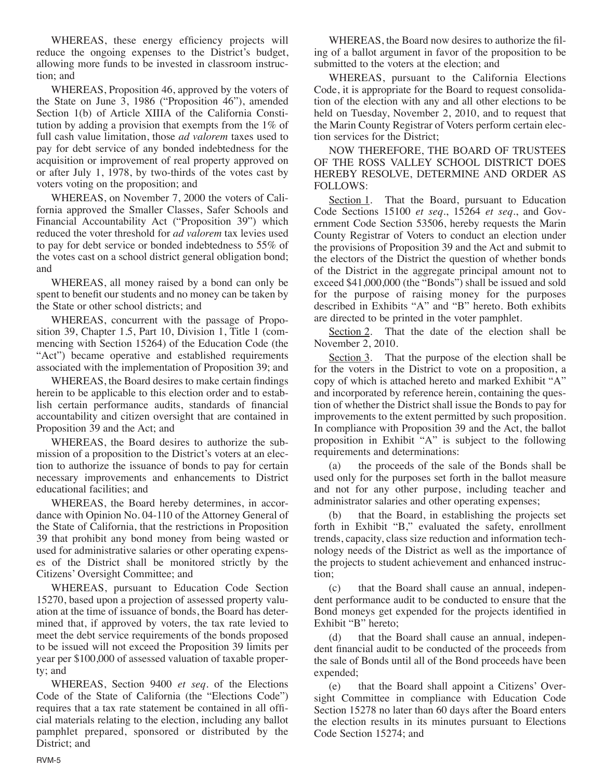WHEREAS, these energy efficiency projects will reduce the ongoing expenses to the District's budget, allowing more funds to be invested in classroom instruction; and

WHEREAS, Proposition 46, approved by the voters of the State on June 3, 1986 ("Proposition 46"), amended Section 1(b) of Article XIIIA of the California Constitution by adding a provision that exempts from the 1% of full cash value limitation, those *ad valorem* taxes used to pay for debt service of any bonded indebtedness for the acquisition or improvement of real property approved on or after July 1, 1978, by two-thirds of the votes cast by voters voting on the proposition; and

WHEREAS, on November 7, 2000 the voters of California approved the Smaller Classes, Safer Schools and Financial Accountability Act ("Proposition 39") which reduced the voter threshold for *ad valorem* tax levies used to pay for debt service or bonded indebtedness to 55% of the votes cast on a school district general obligation bond; and

WHEREAS, all money raised by a bond can only be spent to benefit our students and no money can be taken by the State or other school districts; and

WHEREAS, concurrent with the passage of Proposition 39, Chapter 1.5, Part 10, Division 1, Title 1 (commencing with Section 15264) of the Education Code (the "Act") became operative and established requirements associated with the implementation of Proposition 39; and

WHEREAS, the Board desires to make certain findings herein to be applicable to this election order and to establish certain performance audits, standards of financial accountability and citizen oversight that are contained in Proposition 39 and the Act; and

WHEREAS, the Board desires to authorize the submission of a proposition to the District's voters at an election to authorize the issuance of bonds to pay for certain necessary improvements and enhancements to District educational facilities; and

WHEREAS, the Board hereby determines, in accordance with Opinion No. 04-110 of the Attorney General of the State of California, that the restrictions in Proposition 39 that prohibit any bond money from being wasted or used for administrative salaries or other operating expenses of the District shall be monitored strictly by the Citizens' Oversight Committee; and

WHEREAS, pursuant to Education Code Section 15270, based upon a projection of assessed property valuation at the time of issuance of bonds, the Board has determined that, if approved by voters, the tax rate levied to meet the debt service requirements of the bonds proposed to be issued will not exceed the Proposition 39 limits per year per \$100,000 of assessed valuation of taxable property; and

WHEREAS, Section 9400 *et seq*. of the Elections Code of the State of California (the "Elections Code") requires that a tax rate statement be contained in all official materials relating to the election, including any ballot pamphlet prepared, sponsored or distributed by the District; and

WHEREAS, the Board now desires to authorize the filing of a ballot argument in favor of the proposition to be submitted to the voters at the election; and

WHEREAS, pursuant to the California Elections Code, it is appropriate for the Board to request consolidation of the election with any and all other elections to be held on Tuesday, November 2, 2010, and to request that the Marin County Registrar of Voters perform certain election services for the District;

NOW THEREFORE, THE BOARD OF TRUSTEES OF THE ROSS VALLEY SCHOOL DISTRICT DOES HEREBY RESOLVE, DETERMINE AND ORDER AS FOLLOWS:

Section 1. That the Board, pursuant to Education Code Sections 15100 *et seq*., 15264 *et seq*., and Government Code Section 53506, hereby requests the Marin County Registrar of Voters to conduct an election under the provisions of Proposition 39 and the Act and submit to the electors of the District the question of whether bonds of the District in the aggregate principal amount not to exceed \$41,000,000 (the "Bonds") shall be issued and sold for the purpose of raising money for the purposes described in Exhibits "A" and "B" hereto. Both exhibits are directed to be printed in the voter pamphlet.

Section 2. That the date of the election shall be November 2, 2010.

Section 3. That the purpose of the election shall be for the voters in the District to vote on a proposition, a copy of which is attached hereto and marked Exhibit "A" and incorporated by reference herein, containing the question of whether the District shall issue the Bonds to pay for improvements to the extent permitted by such proposition. In compliance with Proposition 39 and the Act, the ballot proposition in Exhibit "A" is subject to the following requirements and determinations:

(a) the proceeds of the sale of the Bonds shall be used only for the purposes set forth in the ballot measure and not for any other purpose, including teacher and administrator salaries and other operating expenses;

(b) that the Board, in establishing the projects set forth in Exhibit "B," evaluated the safety, enrollment trends, capacity, class size reduction and information technology needs of the District as well as the importance of the projects to student achievement and enhanced instruction;

(c) that the Board shall cause an annual, independent performance audit to be conducted to ensure that the Bond moneys get expended for the projects identified in Exhibit "B" hereto;

(d) that the Board shall cause an annual, independent financial audit to be conducted of the proceeds from the sale of Bonds until all of the Bond proceeds have been expended;

(e) that the Board shall appoint a Citizens' Oversight Committee in compliance with Education Code Section 15278 no later than 60 days after the Board enters the election results in its minutes pursuant to Elections Code Section 15274; and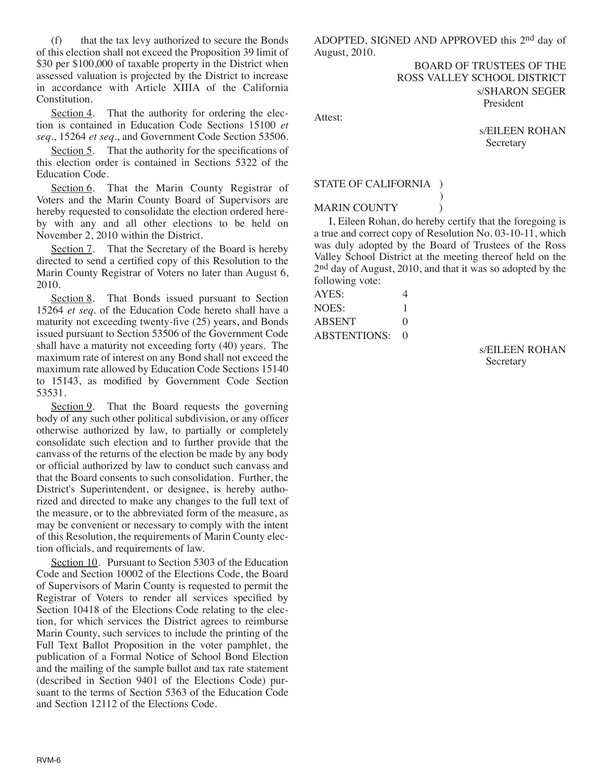(f) that the tax levy authorized to secure the Bonds of this election shall not exceed the Proposition 39 limit of \$30 per \$100,000 of taxable property in the District when assessed valuation is projected by the District to increase in accordance with Article XIIIA of the California Constitution.

Section 4. That the authority for ordering the election is contained in Education Code Sections 15100 *et seq*., 15264 *et seq*., and Government Code Section 53506.

Section 5. That the authority for the specifications of this election order is contained in Sections 5322 of the Education Code.

Section 6. That the Marin County Registrar of Voters and the Marin County Board of Supervisors are hereby requested to consolidate the election ordered hereby with any and all other elections to be held on November 2, 2010 within the District.

Section 7. That the Secretary of the Board is hereby directed to send a certified copy of this Resolution to the Marin County Registrar of Voters no later than August 6, 2010.

Section 8. That Bonds issued pursuant to Section 15264 *et seq*. of the Education Code hereto shall have a maturity not exceeding twenty-five (25) years, and Bonds issued pursuant to Section 53506 of the Government Code shall have a maturity not exceeding forty (40) years. The maximum rate of interest on any Bond shall not exceed the maximum rate allowed by Education Code Sections 15140 to 15143, as modified by Government Code Section 53531.

Section 9. That the Board requests the governing body of any such other political subdivision, or any officer otherwise authorized by law, to partially or completely consolidate such election and to further provide that the canvass of the returns of the election be made by any body or official authorized by law to conduct such canvass and that the Board consents to such consolidation. Further, the District's Superintendent, or designee, is hereby authorized and directed to make any changes to the full text of the measure, or to the abbreviated form of the measure, as may be convenient or necessary to comply with the intent of this Resolution, the requirements of Marin County election officials, and requirements of law.

Section 10. Pursuant to Section 5303 of the Education Code and Section 10002 of the Elections Code, the Board of Supervisors of Marin County is requested to permit the Registrar of Voters to render all services specified by Section 10418 of the Elections Code relating to the election, for which services the District agrees to reimburse Marin County, such services to include the printing of the Full Text Ballot Proposition in the voter pamphlet, the publication of a Formal Notice of School Bond Election and the mailing of the sample ballot and tax rate statement (described in Section 9401 of the Elections Code) pursuant to the terms of Section 5363 of the Education Code and Section 12112 of the Elections Code.

ADOPTED, SIGNED AND APPROVED this 2nd day of August, 2010.

> BOARD OF TRUSTEES OF THE ROSS VALLEY SCHOOL DISTRICT s/SHARON SEGER President

Attest:

s/EILEEN ROHAN **Secretary** 

## STATE OF CALIFORNIA )

**MARIN COUNTY** 

I, Eileen Rohan, do hereby certify that the foregoing is a true and correct copy of Resolution No. 03-10-11, which was duly adopted by the Board of Trustees of the Ross Valley School District at the meeting thereof held on the 2nd day of August, 2010, and that it was so adopted by the following vote:

)

| AYES:               | 4                 |
|---------------------|-------------------|
| NOES:               |                   |
| ABSENT              | $\mathbf{\Omega}$ |
| <b>ABSTENTIONS:</b> | $\mathbf{\Omega}$ |

s/EILEEN ROHAN Secretary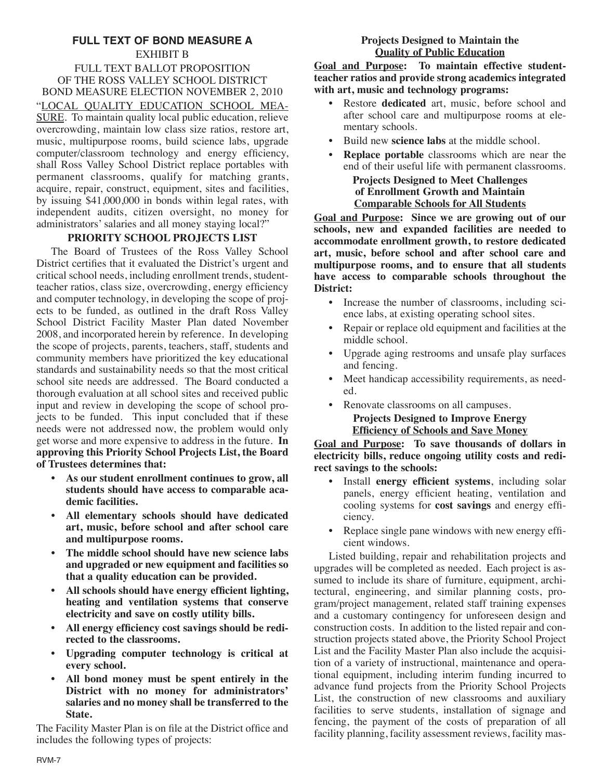### **FULL TEXT OF BOND MEASURE A** EXHIBIT B FULL TEXT BALLOT PROPOSITION OF THE ROSS VALLEY SCHOOL DISTRICT BOND MEASURE ELECTION NOVEMBER 2, 2010 "LOCAL QUALITY EDUCATION SCHOOL MEA-SURE. To maintain quality local public education, relieve overcrowding, maintain low class size ratios, restore art, music, multipurpose rooms, build science labs, upgrade computer/classroom technology and energy efficiency, shall Ross Valley School District replace portables with permanent classrooms, qualify for matching grants, acquire, repair, construct, equipment, sites and facilities, by issuing \$41,000,000 in bonds within legal rates, with independent audits, citizen oversight, no money for administrators' salaries and all money staying local?"

## **PRIORITY SCHOOL PROJECTS LIST**

The Board of Trustees of the Ross Valley School District certifies that it evaluated the District's urgent and critical school needs, including enrollment trends, studentteacher ratios, class size, overcrowding, energy efficiency and computer technology, in developing the scope of projects to be funded, as outlined in the draft Ross Valley School District Facility Master Plan dated November 2008, and incorporated herein by reference. In developing the scope of projects, parents, teachers, staff, students and community members have prioritized the key educational standards and sustainability needs so that the most critical school site needs are addressed. The Board conducted a thorough evaluation at all school sites and received public input and review in developing the scope of school projects to be funded. This input concluded that if these needs were not addressed now, the problem would only get worse and more expensive to address in the future. **In approving this Priority School Projects List, the Board of Trustees determines that:**

- **• As our student enrollment continues to grow, all students should have access to comparable academic facilities.**
- **• All elementary schools should have dedicated art, music, before school and after school care and multipurpose rooms.**
- **• The middle school should have new science labs and upgraded or new equipment and facilities so that a quality education can be provided.**
- **• All schools should have energy efficient lighting, heating and ventilation systems that conserve electricity and save on costly utility bills.**
- **• All energy efficiency cost savings should be redirected to the classrooms.**
- **• Upgrading computer technology is critical at every school.**
- **• All bond money must be spent entirely in the District with no money for administrators' salaries and no money shall be transferred to the State.**

The Facility Master Plan is on file at the District office and includes the following types of projects:

### **Projects Designed to Maintain the Quality of Public Education**

**Goal and Purpose: To maintain effective studentteacher ratios and provide strong academics integrated with art, music and technology programs:**

- Restore **dedicated** art, music, before school and after school care and multipurpose rooms at elementary schools.
- Build new **science labs** at the middle school.
- **Replace portable** classrooms which are near the end of their useful life with permanent classrooms.

### **Projects Designed to Meet Challenges of Enrollment Growth and Maintain Comparable Schools for All Students**

**Goal and Purpose: Since we are growing out of our schools, new and expanded facilities are needed to accommodate enrollment growth, to restore dedicated art, music, before school and after school care and multipurpose rooms, and to ensure that all students have access to comparable schools throughout the District:**

- Increase the number of classrooms, including science labs, at existing operating school sites.
- Repair or replace old equipment and facilities at the middle school.
- Upgrade aging restrooms and unsafe play surfaces and fencing.
- Meet handicap accessibility requirements, as needed.
- Renovate classrooms on all campuses. **Projects Designed to Improve Energy Efficiency of Schools and Save Money**

**Goal and Purpose: To save thousands of dollars in electricity bills, reduce ongoing utility costs and redirect savings to the schools:**

- Install **energy efficient systems**, including solar panels, energy efficient heating, ventilation and cooling systems for **cost savings** and energy efficiency.
- Replace single pane windows with new energy efficient windows.

Listed building, repair and rehabilitation projects and upgrades will be completed as needed. Each project is assumed to include its share of furniture, equipment, architectural, engineering, and similar planning costs, program/project management, related staff training expenses and a customary contingency for unforeseen design and construction costs. In addition to the listed repair and construction projects stated above, the Priority School Project List and the Facility Master Plan also include the acquisition of a variety of instructional, maintenance and operational equipment, including interim funding incurred to advance fund projects from the Priority School Projects List, the construction of new classrooms and auxiliary facilities to serve students, installation of signage and fencing, the payment of the costs of preparation of all facility planning, facility assessment reviews, facility mas